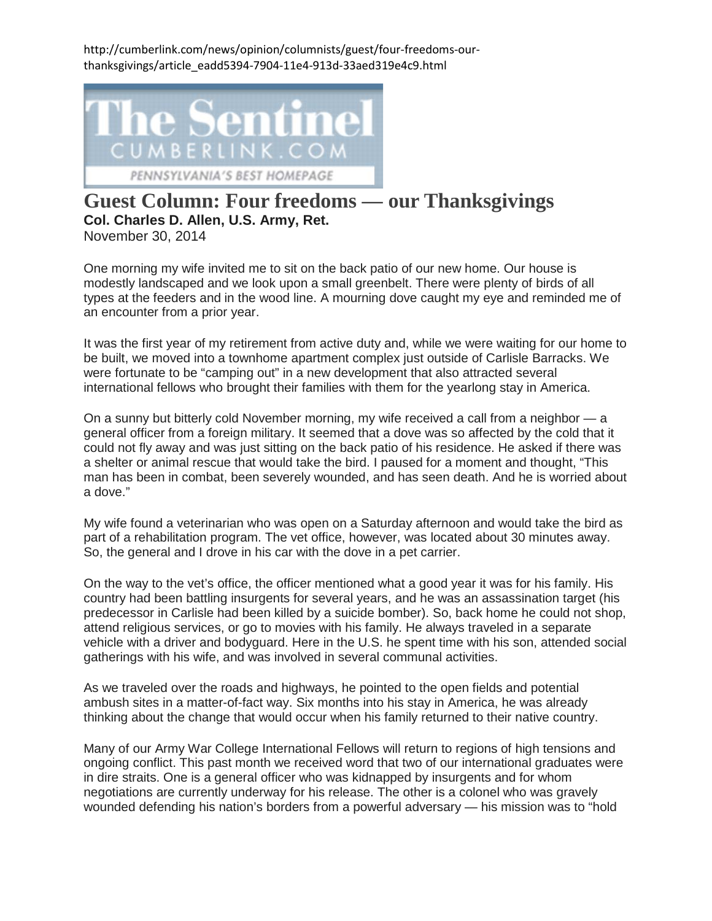http://cumberlink.com/news/opinion/columnists/guest/four-freedoms-ourthanksgivings/article\_eadd5394-7904-11e4-913d-33aed319e4c9.html



## **Guest Column: Four freedoms — our Thanksgivings Col. Charles D. Allen, U.S. Army, Ret.**

November 30, 2014

One morning my wife invited me to sit on the back patio of our new home. Our house is modestly landscaped and we look upon a small greenbelt. There were plenty of birds of all types at the feeders and in the wood line. A mourning dove caught my eye and reminded me of an encounter from a prior year.

It was the first year of my retirement from active duty and, while we were waiting for our home to be built, we moved into a townhome apartment complex just outside of Carlisle Barracks. We were fortunate to be "camping out" in a new development that also attracted several international fellows who brought their families with them for the yearlong stay in America.

On a sunny but bitterly cold November morning, my wife received a call from a neighbor — a general officer from a foreign military. It seemed that a dove was so affected by the cold that it could not fly away and was just sitting on the back patio of his residence. He asked if there was a shelter or animal rescue that would take the bird. I paused for a moment and thought, "This man has been in combat, been severely wounded, and has seen death. And he is worried about a dove."

My wife found a veterinarian who was open on a Saturday afternoon and would take the bird as part of a rehabilitation program. The vet office, however, was located about 30 minutes away. So, the general and I drove in his car with the dove in a pet carrier.

On the way to the vet's office, the officer mentioned what a good year it was for his family. His country had been battling insurgents for several years, and he was an assassination target (his predecessor in Carlisle had been killed by a suicide bomber). So, back home he could not shop, attend religious services, or go to movies with his family. He always traveled in a separate vehicle with a driver and bodyguard. Here in the U.S. he spent time with his son, attended social gatherings with his wife, and was involved in several communal activities.

As we traveled over the roads and highways, he pointed to the open fields and potential ambush sites in a matter-of-fact way. Six months into his stay in America, he was already thinking about the change that would occur when his family returned to their native country.

Many of our Army War College International Fellows will return to regions of high tensions and ongoing conflict. This past month we received word that two of our international graduates were in dire straits. One is a general officer who was kidnapped by insurgents and for whom negotiations are currently underway for his release. The other is a colonel who was gravely wounded defending his nation's borders from a powerful adversary — his mission was to "hold